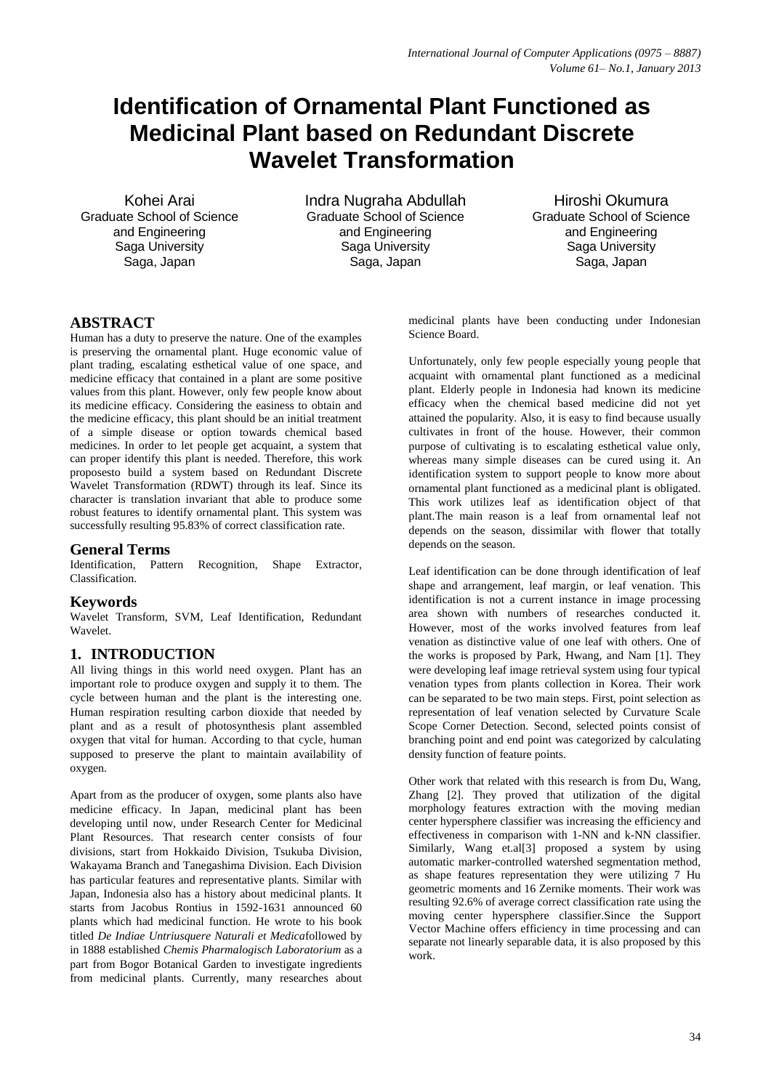# **Identification of Ornamental Plant Functioned as Medicinal Plant based on Redundant Discrete Wavelet Transformation**

Kohei Arai Graduate School of Science and Engineering Saga University Saga, Japan

Indra Nugraha Abdullah Graduate School of Science and Engineering Saga University Saga, Japan

Hiroshi Okumura Graduate School of Science and Engineering Saga University Saga, Japan

## **ABSTRACT**

Human has a duty to preserve the nature. One of the examples is preserving the ornamental plant. Huge economic value of plant trading, escalating esthetical value of one space, and medicine efficacy that contained in a plant are some positive values from this plant. However, only few people know about its medicine efficacy. Considering the easiness to obtain and the medicine efficacy, this plant should be an initial treatment of a simple disease or option towards chemical based medicines. In order to let people get acquaint, a system that can proper identify this plant is needed. Therefore, this work proposesto build a system based on Redundant Discrete Wavelet Transformation (RDWT) through its leaf. Since its character is translation invariant that able to produce some robust features to identify ornamental plant. This system was successfully resulting 95.83% of correct classification rate.

## **General Terms**

Identification, Pattern Recognition, Shape Extractor, Classification.

## **Keywords**

Wavelet Transform, SVM, Leaf Identification, Redundant Wavelet.

# **1. INTRODUCTION**

All living things in this world need oxygen. Plant has an important role to produce oxygen and supply it to them. The cycle between human and the plant is the interesting one. Human respiration resulting carbon dioxide that needed by plant and as a result of photosynthesis plant assembled oxygen that vital for human. According to that cycle, human supposed to preserve the plant to maintain availability of oxygen.

Apart from as the producer of oxygen, some plants also have medicine efficacy. In Japan, medicinal plant has been developing until now, under Research Center for Medicinal Plant Resources. That research center consists of four divisions, start from Hokkaido Division, Tsukuba Division, Wakayama Branch and Tanegashima Division. Each Division has particular features and representative plants. Similar with Japan, Indonesia also has a history about medicinal plants. It starts from Jacobus Rontius in 1592-1631 announced 60 plants which had medicinal function. He wrote to his book titled *De Indiae Untriusquere Naturali et Medica*followed by in 1888 established *Chemis Pharmalogisch Laboratorium* as a part from Bogor Botanical Garden to investigate ingredients from medicinal plants. Currently, many researches about

medicinal plants have been conducting under Indonesian Science Board.

Unfortunately, only few people especially young people that acquaint with ornamental plant functioned as a medicinal plant. Elderly people in Indonesia had known its medicine efficacy when the chemical based medicine did not yet attained the popularity. Also, it is easy to find because usually cultivates in front of the house. However, their common purpose of cultivating is to escalating esthetical value only, whereas many simple diseases can be cured using it. An identification system to support people to know more about ornamental plant functioned as a medicinal plant is obligated. This work utilizes leaf as identification object of that plant.The main reason is a leaf from ornamental leaf not depends on the season, dissimilar with flower that totally depends on the season.

Leaf identification can be done through identification of leaf shape and arrangement, leaf margin, or leaf venation. This identification is not a current instance in image processing area shown with numbers of researches conducted it. However, most of the works involved features from leaf venation as distinctive value of one leaf with others. One of the works is proposed by Park, Hwang, and Nam [1]. They were developing leaf image retrieval system using four typical venation types from plants collection in Korea. Their work can be separated to be two main steps. First, point selection as representation of leaf venation selected by Curvature Scale Scope Corner Detection. Second, selected points consist of branching point and end point was categorized by calculating density function of feature points.

Other work that related with this research is from Du, Wang, Zhang [2]. They proved that utilization of the digital morphology features extraction with the moving median center hypersphere classifier was increasing the efficiency and effectiveness in comparison with 1-NN and k-NN classifier. Similarly, Wang et.al[3] proposed a system by using automatic marker-controlled watershed segmentation method, as shape features representation they were utilizing 7 Hu geometric moments and 16 Zernike moments. Their work was resulting 92.6% of average correct classification rate using the moving center hypersphere classifier.Since the Support Vector Machine offers efficiency in time processing and can separate not linearly separable data, it is also proposed by this work.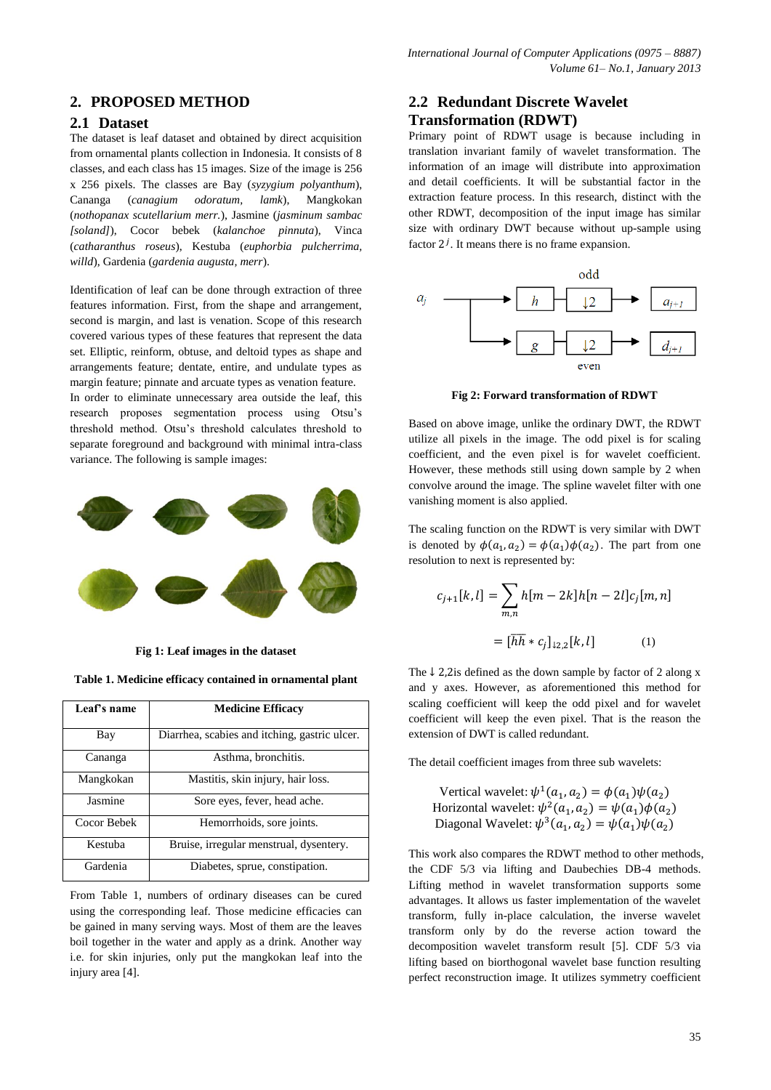# **2. PROPOSED METHOD**

### **2.1 Dataset**

The dataset is leaf dataset and obtained by direct acquisition from ornamental plants collection in Indonesia. It consists of 8 classes, and each class has 15 images. Size of the image is 256 x 256 pixels. The classes are Bay (*syzygium polyanthum*), Cananga (*canagium odoratum, lamk*), Mangkokan (*nothopanax scutellarium merr.*), Jasmine (*jasminum sambac [soland]*), Cocor bebek (*kalanchoe pinnuta*), Vinca (*catharanthus roseus*), Kestuba (*euphorbia pulcherrima, willd*), Gardenia (*gardenia augusta, merr*).

Identification of leaf can be done through extraction of three features information. First, from the shape and arrangement, second is margin, and last is venation. Scope of this research covered various types of these features that represent the data set. Elliptic, reinform, obtuse, and deltoid types as shape and arrangements feature; dentate, entire, and undulate types as margin feature; pinnate and arcuate types as venation feature. In order to eliminate unnecessary area outside the leaf, this research proposes segmentation process using Otsu's threshold method. Otsu's threshold calculates threshold to separate foreground and background with minimal intra-class variance. The following is sample images:



**Fig 1: Leaf images in the dataset**

**Table 1. Medicine efficacy contained in ornamental plant**

| Leaf's name | <b>Medicine Efficacy</b>                      |
|-------------|-----------------------------------------------|
| Bay         | Diarrhea, scabies and itching, gastric ulcer. |
| Cananga     | Asthma, bronchitis.                           |
| Mangkokan   | Mastitis, skin injury, hair loss.             |
| Jasmine     | Sore eyes, fever, head ache.                  |
| Cocor Bebek | Hemorrhoids, sore joints.                     |
| Kestuba     | Bruise, irregular menstrual, dysentery.       |
| Gardenia    | Diabetes, sprue, constipation.                |

From Table 1, numbers of ordinary diseases can be cured using the corresponding leaf. Those medicine efficacies can be gained in many serving ways. Most of them are the leaves boil together in the water and apply as a drink. Another way i.e. for skin injuries, only put the mangkokan leaf into the injury area [4].

# **2.2 Redundant Discrete Wavelet Transformation (RDWT)**

Primary point of RDWT usage is because including in translation invariant family of wavelet transformation. The information of an image will distribute into approximation and detail coefficients. It will be substantial factor in the extraction feature process. In this research, distinct with the other RDWT, decomposition of the input image has similar size with ordinary DWT because without up-sample using factor  $2<sup>j</sup>$ . It means there is no frame expansion.



**Fig 2: Forward transformation of RDWT**

Based on above image, unlike the ordinary DWT, the RDWT utilize all pixels in the image. The odd pixel is for scaling coefficient, and the even pixel is for wavelet coefficient. However, these methods still using down sample by 2 when convolve around the image. The spline wavelet filter with one vanishing moment is also applied.

The scaling function on the RDWT is very similar with DWT is denoted by  $\phi(a_1, a_2) = \phi(a_1)\phi(a_2)$ . The part from one resolution to next is represented by:

$$
c_{j+1}[k,l] = \sum_{m,n} h[m-2k]h[n-2l]c_j[m,n]
$$

$$
= [\overline{hh} * c_j]_{1,2,2}[k,l] \tag{1}
$$

The  $\downarrow$  2,2is defined as the down sample by factor of 2 along x and y axes. However, as aforementioned this method for scaling coefficient will keep the odd pixel and for wavelet coefficient will keep the even pixel. That is the reason the extension of DWT is called redundant.

The detail coefficient images from three sub wavelets:

Vertical wavelet:  $\psi^1(a_1, a_2) = \phi(a_1)$ Horizontal wavelet:  $\psi^2(a_1, a_2) = \psi(a_1)$ Diagonal Wavelet:  $\psi^3(a_1, a_2) = \psi(a_1)$ 

This work also compares the RDWT method to other methods, the CDF 5/3 via lifting and Daubechies DB-4 methods. Lifting method in wavelet transformation supports some advantages. It allows us faster implementation of the wavelet transform, fully in-place calculation, the inverse wavelet transform only by do the reverse action toward the decomposition wavelet transform result [5]. CDF 5/3 via lifting based on biorthogonal wavelet base function resulting perfect reconstruction image. It utilizes symmetry coefficient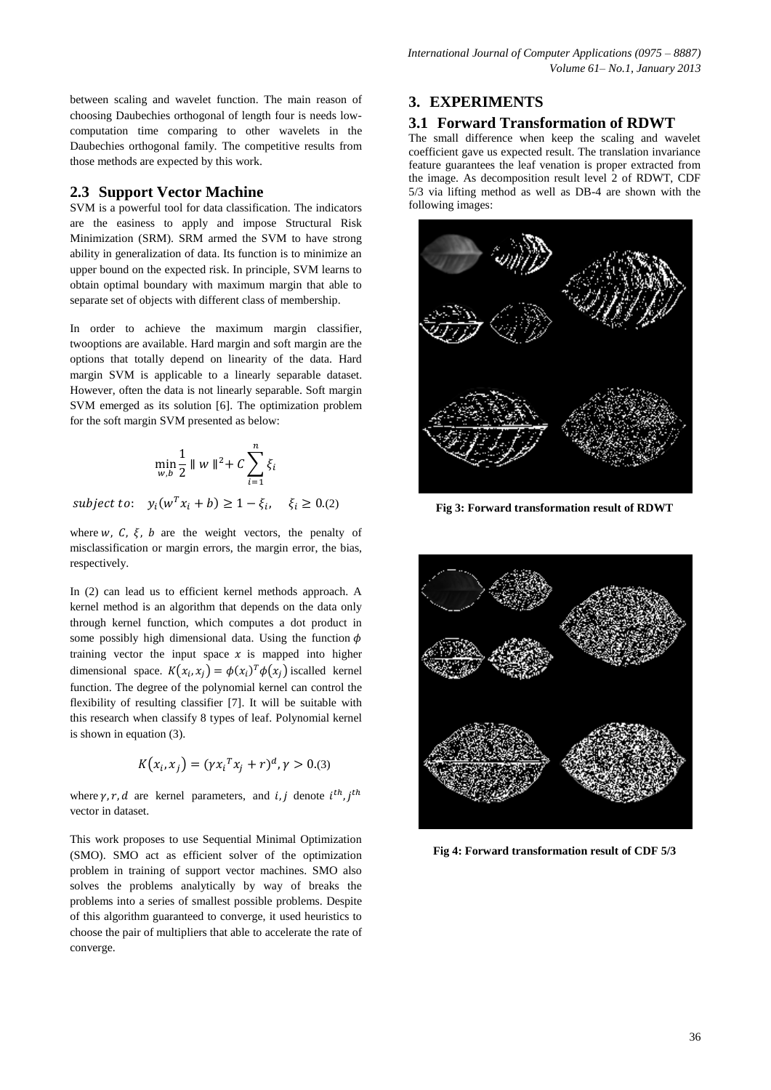between scaling and wavelet function. The main reason of choosing Daubechies orthogonal of length four is needs lowcomputation time comparing to other wavelets in the Daubechies orthogonal family. The competitive results from those methods are expected by this work.

## **2.3 Support Vector Machine**

SVM is a powerful tool for data classification. The indicators are the easiness to apply and impose Structural Risk Minimization (SRM). SRM armed the SVM to have strong ability in generalization of data. Its function is to minimize an upper bound on the expected risk. In principle, SVM learns to obtain optimal boundary with maximum margin that able to separate set of objects with different class of membership.

In order to achieve the maximum margin classifier, twooptions are available. Hard margin and soft margin are the options that totally depend on linearity of the data. Hard margin SVM is applicable to a linearly separable dataset. However, often the data is not linearly separable. Soft margin SVM emerged as its solution [6]. The optimization problem for the soft margin SVM presented as below:

$$
\min_{w,b}\frac{1}{2}\parallel w\parallel^2+C\sum_{i=1}^n\xi_i
$$

subject to:  $y_i(w^T x_i + b) \ge 1 - \xi_i$ ,  $\xi_i \ge 0$ .(2)

where w, C,  $\xi$ , b are the weight vectors, the penalty of misclassification or margin errors, the margin error, the bias, respectively.

In (2) can lead us to efficient kernel methods approach. A kernel method is an algorithm that depends on the data only through kernel function, which computes a dot product in some possibly high dimensional data. Using the function  $\phi$ training vector the input space  $x$  is mapped into higher dimensional space.  $K(x_i, x_j) = \phi(x_i)^T \phi(x_j)$  iscalled kernel function. The degree of the polynomial kernel can control the flexibility of resulting classifier [7]. It will be suitable with this research when classify 8 types of leaf. Polynomial kernel is shown in equation (3).

$$
K(x_i, x_j) = (\gamma x_i^T x_j + r)^d, \gamma > 0.3
$$

where  $\gamma$ ,  $r$ ,  $d$  are kernel parameters, and i, j denote  $i^{th}$ , j<sup>t</sup> vector in dataset.

This work proposes to use Sequential Minimal Optimization (SMO). SMO act as efficient solver of the optimization problem in training of support vector machines. SMO also solves the problems analytically by way of breaks the problems into a series of smallest possible problems. Despite of this algorithm guaranteed to converge, it used heuristics to choose the pair of multipliers that able to accelerate the rate of converge.

### **3. EXPERIMENTS**

#### **3.1 Forward Transformation of RDWT**

The small difference when keep the scaling and wavelet coefficient gave us expected result. The translation invariance feature guarantees the leaf venation is proper extracted from the image. As decomposition result level 2 of RDWT, CDF 5/3 via lifting method as well as DB-4 are shown with the following images:



**Fig 3: Forward transformation result of RDWT**



**Fig 4: Forward transformation result of CDF 5/3**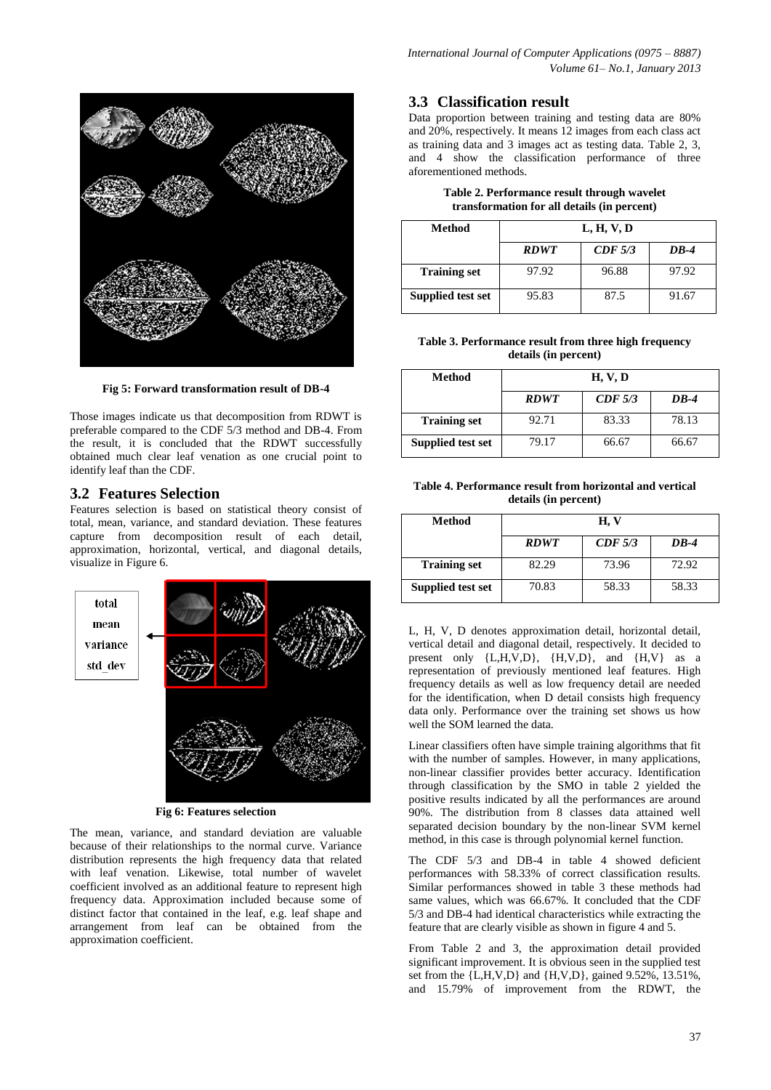

**Fig 5: Forward transformation result of DB-4**

Those images indicate us that decomposition from RDWT is preferable compared to the CDF 5/3 method and DB-4. From the result, it is concluded that the RDWT successfully obtained much clear leaf venation as one crucial point to identify leaf than the CDF.

## **3.2 Features Selection**

Features selection is based on statistical theory consist of total, mean, variance, and standard deviation. These features capture from decomposition result of each detail, approximation, horizontal, vertical, and diagonal details, visualize in Figure 6.



**Fig 6: Features selection**

The mean, variance, and standard deviation are valuable because of their relationships to the normal curve. Variance distribution represents the high frequency data that related with leaf venation. Likewise, total number of wavelet coefficient involved as an additional feature to represent high frequency data. Approximation included because some of distinct factor that contained in the leaf, e.g. leaf shape and arrangement from leaf can be obtained from the approximation coefficient.

# **3.3 Classification result**

Data proportion between training and testing data are 80% and 20%, respectively. It means 12 images from each class act as training data and 3 images act as testing data. Table 2, 3, and 4 show the classification performance of three aforementioned methods.

| Table 2. Performance result through wavelet |
|---------------------------------------------|
| transformation for all details (in percent) |

| Method              | L, H, V, D  |         |       |  |
|---------------------|-------------|---------|-------|--|
|                     | <b>RDWT</b> | CDF 5/3 | DB-4  |  |
| <b>Training set</b> | 97.92       | 96.88   | 97.92 |  |
| Supplied test set   | 95.83       | 87.5    | 91.67 |  |

**Table 3. Performance result from three high frequency details (in percent)**

| Method              | H, V, D     |         |        |
|---------------------|-------------|---------|--------|
|                     | <b>RDWT</b> | CDF 5/3 | $DR-4$ |
| <b>Training set</b> | 92.71       | 83.33   | 78.13  |
| Supplied test set   | 79.17       | 66.67   | 66.67  |

| Table 4. Performance result from horizontal and vertical |
|----------------------------------------------------------|
| details (in percent)                                     |

| Method              | H, V        |         |        |
|---------------------|-------------|---------|--------|
|                     | <b>RDWT</b> | CDF 5/3 | $DB-4$ |
| <b>Training set</b> | 82.29       | 73.96   | 72.92  |
| Supplied test set   | 70.83       | 58.33   | 58.33  |

L, H, V, D denotes approximation detail, horizontal detail, vertical detail and diagonal detail, respectively. It decided to present only  ${L,H,V,D}$ ,  ${H,V,D}$ , and  ${H,V}$  as a representation of previously mentioned leaf features. High frequency details as well as low frequency detail are needed for the identification, when D detail consists high frequency data only. Performance over the training set shows us how well the SOM learned the data.

Linear classifiers often have simple training algorithms that fit with the number of samples. However, in many applications, non-linear classifier provides better accuracy. Identification through classification by the SMO in table 2 yielded the positive results indicated by all the performances are around 90%. The distribution from 8 classes data attained well separated decision boundary by the non-linear SVM kernel method, in this case is through polynomial kernel function.

The CDF 5/3 and DB-4 in table 4 showed deficient performances with 58.33% of correct classification results. Similar performances showed in table 3 these methods had same values, which was 66.67%. It concluded that the CDF 5/3 and DB-4 had identical characteristics while extracting the feature that are clearly visible as shown in figure 4 and 5.

From Table 2 and 3, the approximation detail provided significant improvement. It is obvious seen in the supplied test set from the {L,H,V,D} and {H,V,D}, gained 9.52%, 13.51%, and 15.79% of improvement from the RDWT, the